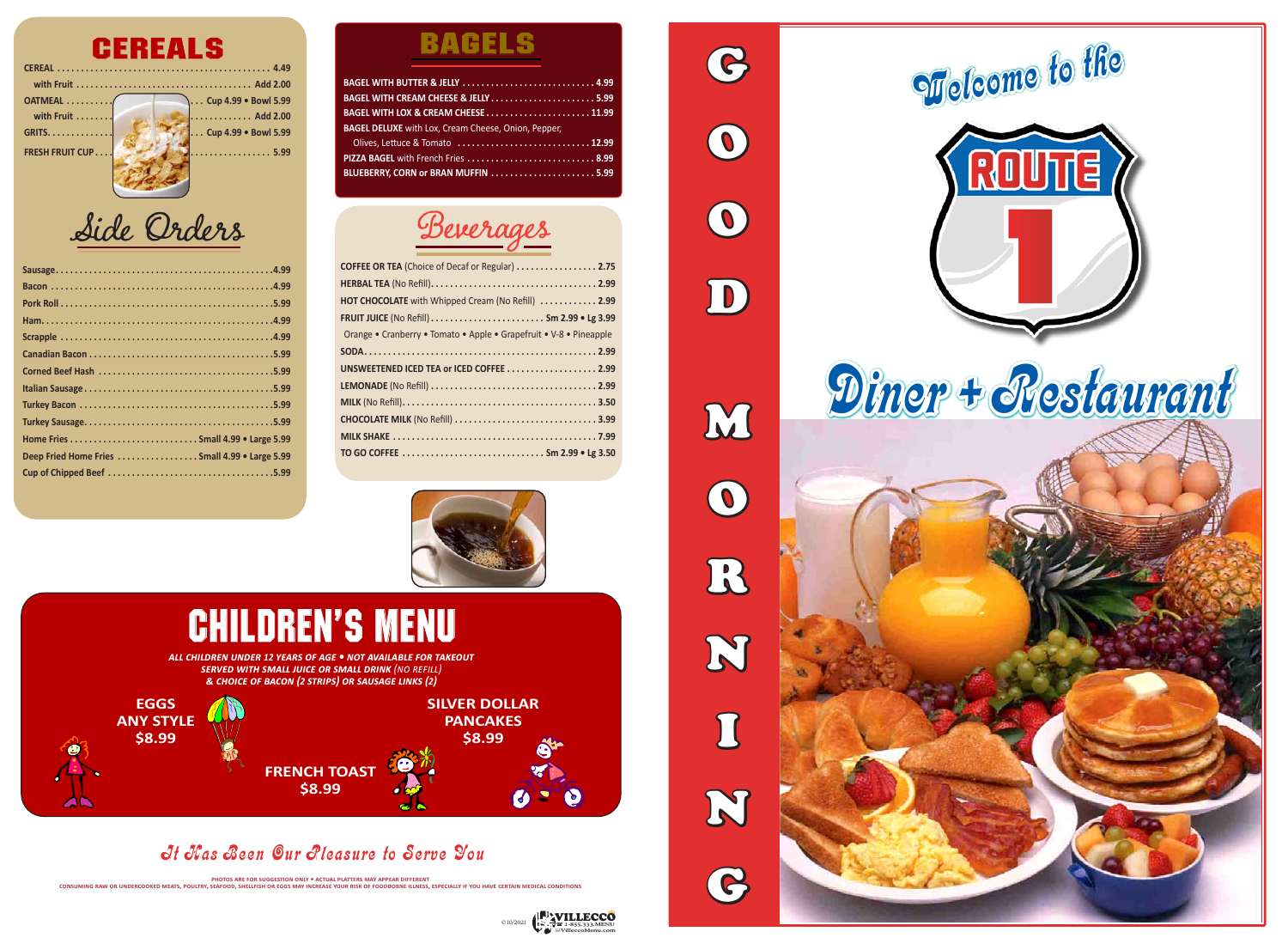## **CEREAL . . . . . . . . . . . . . . . . . . . . . . . . . . . . . . . . . . . . . . . . . . . . . 4.49 CEREALS**

| OATMEAL (                    | Cup 4.99 . Bowl 5.99                                                 |
|------------------------------|----------------------------------------------------------------------|
| with Fruit $\ldots \ldots$ . | $\ldots$ Add 2.00                                                    |
| <b>GRITS.</b>                | Cup 4.99 . Bowl 5.99                                                 |
| <b>FRESH FRUIT CUP</b>       | $\left[\ldots \ldots \ldots \ldots \ldots \ldots \ldots 5.99\right]$ |
|                              |                                                                      |
|                              |                                                                      |

## It Has Been Our Pleasure to Serve You

PHOTOS ARE FOR SUGGESTION ONLY ® ACTUAL PLATTERS MAY APPEAR DIFFERENT<br>CONSUMING RAW OR UNDERCOOKED MEATS, POULTRY, SEAFOOD, SHELLFISH OR EGGS MAY INCREASE YOUR RISK OF FOODBORNE ILLNESS, ESPECIALLY IF YOU HAVE CERTAIN MEDI

| Deep Fried Home Fries  Small 4.99 . Large 5.99 |
|------------------------------------------------|
|                                                |

## **BAGELS**

G

O

 $\odot$ 

 $\boxed{\text{D}}$ 

M

O

R

N



I

N

G

| <b>BAGEL DELUXE</b> with Lox, Cream Cheese, Onion, Pepper, |  |
|------------------------------------------------------------|--|
| Olives, Lettuce & Tomato  12.99                            |  |
| PIZZA BAGEL with French Fries  8.99                        |  |
|                                                            |  |

| <b>COFFEE OR TEA (Choice of Decaf or Regular)  2.75</b>            |
|--------------------------------------------------------------------|
|                                                                    |
| HOT CHOCOLATE with Whipped Cream (No Refill)  2.99                 |
|                                                                    |
| Orange • Cranberry • Tomato • Apple • Grapefruit • V-8 • Pineapple |
|                                                                    |
| UNSWEETENED ICED TEA or ICED COFFEE  2.99                          |
|                                                                    |
|                                                                    |
| CHOCOLATE MILK (No Refill)  3.99                                   |
|                                                                    |
| TO GO COFFEE  Sm 2.99 • Lg 3.50                                    |





## **EGGS ANY STYLE \$8.99 SILVER DOLLAR PANCAKES \$8.99 FRENCH TOAST \$8.99** *all children under 12 years of age • not available for takeout served with small juice or small drink (no refill) & choice of bacon (2 strips) or sausage links (2)* children's menu

Side Orders